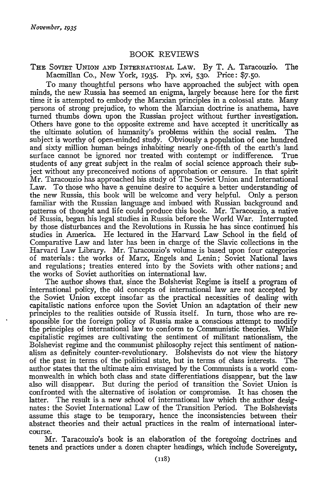## BOOK REVIEWS

THE SOVIET UNION **AND** INTERNATIONAL LAW. By T. A. Taracouzio. The Macmillan Co., New York, 1935. Pp. xvi, **530.** Price: **\$7.50.**

To many thoughtful persons who have approached the subject with open minds, the new Russia has seemed an enigma, largely because here for the first time it is attempted to embody the Marxian principles in a colossal state. Many persons of strong prejudice, to whom the Marxian doctrine is anathema, have turned thumbs down upon the Russian project without further investigation. Others have gone to the opposite extreme and have accepted it uncritically as the ultimate solution of humanity's problems within the social realm. The subject is worthy of open-minded study. Obviously a population of one hundred and sixty million human beings inhabiting nearly one-fifth of the earth's land surface cannot be ignored nor treated with contempt or indifference. True students of any great subject in the realm of social science approach their subject without any preconceived notions of approbation or censure. In that spirit Mr. Taracouzio has approached his study of The Soviet Union and International Law. To those who have a genuine desire to acquire a better understanding of the new Russia, this book will be welcome and very helpful. Only a person familiar with the Russian language and imbued with Russian background and patterns of thought and life could produce this book. Mr. Taracouzio, a native of Russia, began his legal studies in Russia before the World War. Interrupted by those disturbances and the Revolutions in Russia he has since continued his studies in America. He lectured in the Harvard Law School in the field of Comparative Law and later has been in charge of the Slavic collections in the Harvard Law Library. Mr. Taracouzio's volume is based upon four categories of materials: the works of Marx, Engels and Lenin; Soviet National laws and regulations; treaties entered into by the Soviets with other nations; and the works of Soviet authorities on international law.

The author shows that, since the Bolshevist Regime is itself a program of international policy, the old concepts of international law are not accepted by the Soviet Union except insofar as the practical necessities of dealing with capitalistic nations enforce upon the Soviet Union an adaptation of their new principles to the realities outside of Russia itself. In turn, those who are responsible for the foreign policy of Russia make a conscious attempt to modify the principles of international law to conform to Communistic theories. While capitalistic regimes are cultivating the sentiment of militant nationalism, the Bolshevist regime and the communist philosophy reject this sentiment of nationalism as definitely counter-revolutionary. Bolshevists do not view the history of the past in terms of the political state, but in terms of class interests. The author states that the ultimate aim envisaged by the Communists is a world commonwealth in which both class and state differentiations disappear, but the law also will disappear. But during the period of transition the Soviet Union is confronted with the alternative of isolation or compromise. It has chosen the latter. The result is a new school of international law which the author designates: the Soviet International Law of the Transition Period. The Bolshevists assume this stage to be temporary, hence the inconsistencies between their abstract theories and their actual practices in the realm of international intercourse.

Mr. Taracouzio's book is an elaboration of the foregoing doctrines and tenets and practices under a dozen chapter headings, which include Sovereignty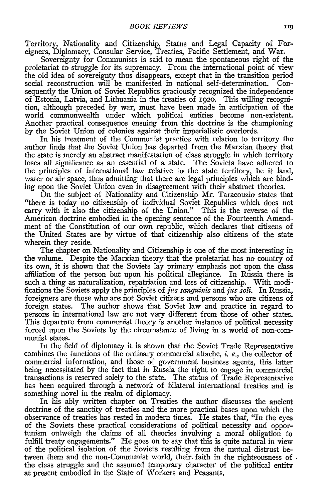Territory, Nationality and Citizenship, Status and Legal Capacity of Foreigners, Diplomacy, Consular Service, Treaties, Pacific Settlement, and War.

Sovereignty for Communists is said to mean the spontaneous right of the proletariat to struggle for its supremacy. From the international point of view the old idea of sovereignty thus disappears, except that in the transition period social reconstruction will be manifested in national self-determination. Consequently the Union of Soviet Republics graciously recognized the independence of Estonia, Latvia, and Lithuania in the treaties of 192o. This willing recognition, although preceded **by** war, must have been made in anticipation of the world commonwealth under which political entities become non-existent. Another practical consequence ensuing from this doctrine is the championing **by** the Soviet Union of colonies against their imperialistic overlords.

In his treatment of the Communist practice with relation to territory the author finds that the Soviet Union has departed from the Marxian theory that the state is merely an abstract manifestation of class struggle in which territory loses all significance as an essential of a state. The Soviets have adhered to the principles of international law relative to the state territory, be it land, water or air space, thus admitting that there are legal principles which are binding upon the Soviet Union even in disagreement with their abstract theories.

On the subject of Nationality and Citizenship Mr. Taracouzio states that "there is today no citizenship of individual Soviet Republics which does not carry with it also the citizenship of the Union." This is the reverse of the American doctrine embodied in the opening sentence of the Fourteenth Amendment of the Constitution of our own republic, which declares that citizens of the United States are **by** virtue of that citizenship also citizens of the state wherein they reside.

The chapter on Nationality and Citizenship is one of the most interesting in the volume. Despite the Marxian theory that the proletariat has no country of its own, it is shown that the Soviets lay primary emphasis not upon the class affiliation of the person but upon his political allegiance. In Russia there is such a thing as naturalization, repatriation and loss of citizenship. With modifications the Soviets apply the principles of *jus sanguinis* and *jus soli.* In Russia, foreigners are those who are not Soviet citizens and persons who are citizens of foreign states. The author shows that Soviet law and practice in regard to persons in international law are not very different from those of other states. This departure from communist theory is another instance of political necessity forced upon the Soviets **by** the circumstance of living in a world of non-communist states.

In the field of diplomacy it is shown that the Soviet Trade Representative combines the functions of the ordinary commercial attache, *i. e.,* the collector of commercial information, and those of government business agents, this latter being necessitated **by** the fact that in Russia the right to engage in commercial transactions is reserved solely to the state. The status of Trade Representative has been acquired through a network of bilateral international treaties and is something novel in the realm of diplomacy.

In his ably written chapter on Treaties the author discusses the ancient doctrine of the sanctity of treaties and the more practical bases upon which the observance of treaties has rested in modern times. He states that, "In the eyes of the Soviets these practical considerations of political necessity and opportunism outweigh the claims of all theories involving a moral obligation to fulfill treaty engagements." He goes on to say that this is quite natural in view of the political isolation of the Soviets resulting from the mutual distrust between them and the non-Communist world, their faith in the righteousness of the class struggle and the assumed temporary character of the political entitv at present embodied in the State of Workers and Peasants.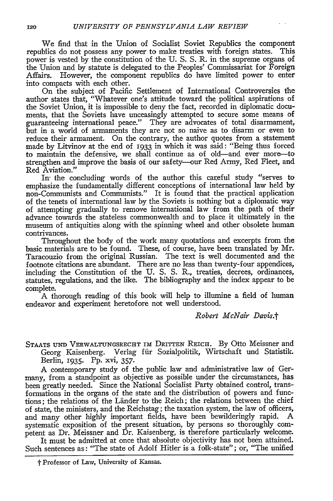We find that in the Union of Socialist Soviet Republics the component republics do not possess any power to make treaties with foreign states. This power is vested by the constitution of the U. S. S. R. in the supreme organs of the Union and by statute is delegated to the Peoples' Commissariat for Foreign Affairs. However, the component republics do have limited power to enter into compacts with each other.

On the subject of Pacific Settlement of International Controversies the author states that, "Whatever one's attitude toward the political aspirations of the Soviet Union, it is impossible to deny the fact, recorded in diplomatic documents, that the Soviets have unceasingly attempted to secure some means of guaranteeing international peace." They are advocates of total disarmament, but in a world of armaments they are not so naive as to disarm or even to reduce their armament. On the contrary, the author quotes from a statement made by Litvinov at the end of 1933 in which it was said: "Being thus forced to maintain the defensive, we shall continue as of old-and ever more-to strengthen and improve the basis of our safety--our Red Army, Red Fleet, and Red Aviation."

In- the concluding words of the author this careful study "serves to emphasize the fundamentally different conceptions of international law held by non-Communists and Communists." It is found that the practical application of the tenets of international law by the Soviets is nothing but a diplomatic way of attempting gradually to remove international law from the path of their advance towards the stateless commonwealth and to place it ultimately in the museum of antiquities along with the spinning wheel and other obsolete human contrivances.

Throughout the body of the work many quotations and excerpts from the basic materials are to be found. These, of course, have been translated by Mr. Taracouzio from the original Russian. The text is well documented and the footnote citations are abundant. There are no less than twenty-four appendices, including the Constitution of the U. S. S. R., treaties, decrees, ordinances, statutes, regulations, and the like. The bibliography and the index appear to be complete.

A thorough reading of this book will help to illumine a field of human endeavor and experiment heretofore not well understood.

*Robert McNair Davis.t*

**STAATS UND** VERWALTUNGSRECHT **Im** DRITTEN REICH. By Otto Meissner and Georg Kaisenberg. Verlag für Sozialpolitik, Wirtschaft und Statistik.

Berlin, 1935. Pp. xvi, 357.

A contemporary study of the public law and administrative law of Germany, from a standpoint as objective as possible under the circumstances, has been greatly needed. Since the National Socialist Party obtained control, transformations in the organs of the state and the distribution of powers and functions; the relations of the Linder to the Reich; the relations between the chief of state, the ministers, and the Reichstag; the taxation system, the law of officers, and many other highly important fields, have been bewilderingly rapid. systematic exposition of the present situation, by persons so thoroughly competent as Dr. Meissner and Dr. Kaisenberg, is therefore particularly welcome.

It must be admitted at once that absolute objectivity has not been attained. Such sentences as: "The state of Adolf Hitler is a folk-state"; or, "The unified

t Professor of Law, University of Kansas.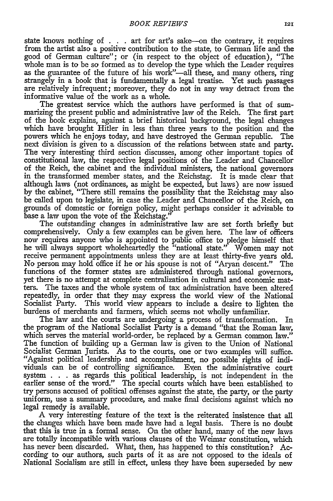state knows nothing of **. . .** art for art's sake-on the contrary, it requires from the artist also a positive contribution to the state, to German life and the good of German culture"; or (in respect to the object of education), "The whole man is to be so formed as to develop the type which the Leader requires as the guarantee of the future of his work"-all these, and many others, ring strangely in a book that is fundamentally a legal treatise. Yet such passages are relatively infrequent; moreover, they do not in any way detract from the informative value of the work as a whole.

The greatest service which the authors have performed is that of summarizing the present public and administrative law of the Reich. The first part of the book explains, against a brief historical background, the legal changes which have brought Hitler in less than three years to the position and the powers which he enjoys today, and have destroyed the German republic. The next division is given to a discussion of the relations between state and party. The very interesting third section discusses, among other important topics of constitutional law, the respective legal positions of the Leader and Chancellor of the Reich, -the cabinet and the individual ministers, the national governors in the transformed member states, and the Reichstag. It is made clear that although laws (not ordinances, as might be expected, but laws) are now issued by the cabinet, "There still remains the possibility that the Reichstag may also be called upon to legislate, in case the Leader and Chancellor of the Reich, on grounds of domestic or foreign policy, might perhaps consider it advisable to base a law upon the vote of the Reichstag."

The outstanding changes in administrative law are set forth briefly but comprehensively. Only a few examples can be given here. The law of officers now requires anyone who is appointed to public office to pledge himself that he will always support wholeheartedly the "national state." Women may not receive permanent appointments unless they are at least thirty-five years old. No person may hold office if he or his spouse is not of "Aryan descent." The functions of the former states are administered through national governors, yet there is no attempt at complete centralization in cultural and economic matters. The taxes and the whole system of tax administration have been altered repeatedly, in order that they may express the world view of the National Socialist Party. This world view appears to include a desire to lighten the burdens of merchants and farmers, which seems not wholly unfamiliar.

The law and the courts are undergoing a process of transformation. In the program of the National Socialist Party is a demand "that the Roman law, which serves the material world-order, be replaced by a German common law." The function of building up a German law is given to the Union of National Socialist German Jurists. As to the courts, one or two examples will suffice. "Against political leadership and accomplishment, no possible rights of individuals can be of controlling significance. Even the administrative court system . . . as regards this political leadership, is not independent in the earlier sense of the word." The special courts which have been established to try persons accused of political offenses against the state, the party, or the party uniform, use a summary procedure, and make final decisions against which no legal remedy is available.

A very interesting feature of the text is the reiterated insistence that all the changes which have been made have had a legal basis. There is no doubt that this is true in a formal sense. On the other hand, many of the new laws are totally incompatible with various clauses of the Weimar constitution, which has never been discarded. What, then, has happened to this constitution? According to our authors, such parts of it as are not opposed to the ideals of National Socialism are still in effect, unless they have been superseded by new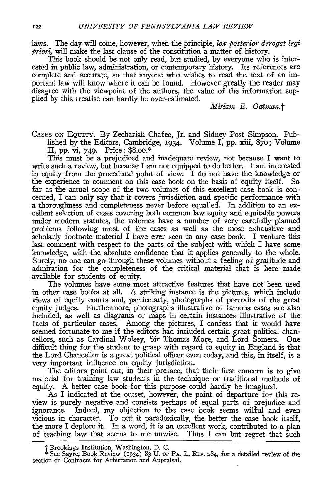laws. The day will come, however, when the principle, *lex posterior derogat legi priori,* will make the last clause of the constitution a matter of history.

This book should be not only read, but studied, by everyone who is interested in public law, administration, or contemporary history. Its references are complete and accurate, so that anyone who wishes to read the text of an important law will know where it can be found. However greatly the reader may disagree with the viewpoint of the authors, the value of the information supplied by this treatise can hardly be over-estimated.<br>*Miriam. E. Oatman.*†

CAsEs ON EQUITY. By Zechariah Chafee, Jr. and Sidney Post Simpson. Published by the Editors, Cambridge, 1934. Volume I, pp. xiii, 870; Volume

II, pp. vi, 749. Price: \$8.oo.\*

This must be a prejudiced and inadequate review, not because I want to write such a review, but because I am not equipped to do better. I am interested in equity from the procedural point of view. I do not have the knowledge or the experience to comment on this case book on the basis of equity itself. So far as the actual scope of the two volumes of this excellent case book is concerned, I can only say that it covers jurisdiction and specific performance with a thoroughness and completeness never before equalled. In addition to an excellent selection of cases covering both common law equity and equitable powers under modern statutes, the volumes have a number of very carefully planned problems following most of the cases as well as the most exhaustive and scholarly footnote material I have ever seen in any case book. I venture this last comment with respect to the parts of the subject with which I have some knowledge, with the absolute confidence that it applies generally to the whole. Surely, no one can go through these volumes without a feeling of gratitude and admiration for the completeness of the critical material that is here made available for students of equity.

The volumes have some most attractive features that have not been used in other case books at all. A striking instance is the pictures, which include views of equity courts and, particularly, photographs of portraits of the great equity judges. Furthermore, photographs illustrative of famous cases are also included, as well as diagrams or maps in certain instances illustrative of the facts of particular cases. Among the pictures, I confess that it would have seemed fortunate to me if the editors had included certain great political chancellors, such as Cardinal Wolsey, Sir Thomas More, and Lord Somers. One difficult thing for the student to grasp with regard to equity in England is that the Lord Chancellor is a great political officer even today, and this, in itself, is a very important influence on equity jurisdiction.

The editors point out, in their preface, that their first concern is to give material for training law students in the technique or traditional methods of equity. A better case book for this purpose could hardly be imagined.

As I indicated at the outset, however, the point of departure for this review is purely negative and consists perhaps of equal parts of prejudice and ignorance. Indeed, my objection to the case book seems wilful and even vicious in character. To put it paradoxically, the better the case book itself, the more I deplore it. In a word, it is an excellent work, contributed to a plan of teaching law that seems to me unwise. Thus I can but regret that such

**<sup>&#</sup>x27;I** Brookings Institution, Washington, D. C.

<sup>\*</sup>See Sayre, Book Review (1934) 83 U. OF PA. L. **REV.** 284, for a detailed review of the section on Contracts for Arbitration and Appraisal.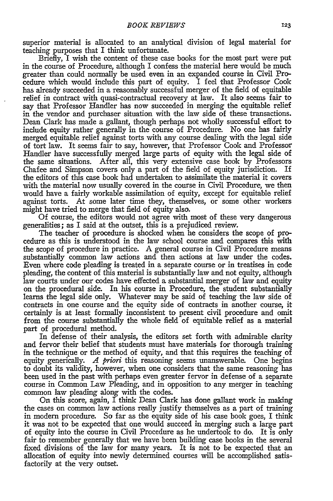superior material is allocated to an analytical division of legal material for teaching purposes that I think unfortunate.

Briefly, I wish the content of these case books for the most part were put in the course of Procedure, although I confess the material here would be much greater than could normally be used even in an expanded course in Civil Procedure which would include this part of equity. I feel that Professor Cook has already succeeded in a reasonably successful merger of the field of equitable relief in contract with quasi-contractual recovery at law. It also seems fair to say that Professor Handler has now succeeded in merging the equitable relief in the vendor and purchaser situation with the law side of these transactions. Dean Clark has made a gallant, though perhaps not wholly successful effort to include equity rather generally in the course of Procedure. No one has fairly merged equitable relief against torts with any course dealing with the legal side of tort law. It seems fair to say, however, that Professor Cook and Professor Handier have successfully merged large parts of equity with the legal side of the same situations. After all, this very extensive case book by Professors Chafee and Simpson covers only a part of the field of equity jurisdiction. If the editors of this case book had undertaken to assimilate the material it covers with the material now usually covered in the course in Civil Procedure, we then would have a fairly workable assimilation of equity, except for equitable relief against torts. At some later time they, themselves, or some other workers might have tried to merge that field of equity also.

Of course, the editors would not agree with most of these very dangerous generalities; as I said at the outset, this is a prejudiced review.

The teacher of procedure is shocked when he considers the scope of procedure as this is understood in the law school course and compares this with the scope of procedure in practice. A general course in Civil Procedure means substantially common law actions and then actions at law under the codes. Even where code pleading is treated in a separate course or in treatises in code pleading, the content of this material is substantially law and not equity, although law courts under our codes have effected a substantial merger of law and equity on the procedural side. In his course in Procedure, the student substantially learns the legal side only. Whatever may be said of teaching the law side of contracts in one course and the equity side of contracts in another course, it certainly is at least formally inconsistent to present civil procedure and omit from the course substantially the whole field of equitable relief as a material part of procedural method.

In defense of their analysis, the editors set forth with admirable clarity and fervor their belief that students must have materials for thorough training in the technique or the method of equity, and that this requires the teaching of equity generically. *A priori* this reasoning seems unanswerable. One begins to doubt its validity, however, when one considers that the same reasoning has been used in the past with perhaps even greater fervor in defense of a separate course in Common Law Pleading, and in opposition to any merger in teaching common law pleading along with the codes.

On this score, again, I think Dean Clark has done gallant work in making the cases on common law actions really justify themselves as a part of training in modern procedure. So far as the equity side of his case book goes, I think it was not to be expected that one would succeed in merging such a large part of equity into the course in Civil Procedure as he undertook to do. It is only fair to remember generally that we have been building case books in the several fixed divisions of the law for many years. It is not to be expected that an allocation of equity into newly determined courses will be accomplished satisfactorily at the very outset.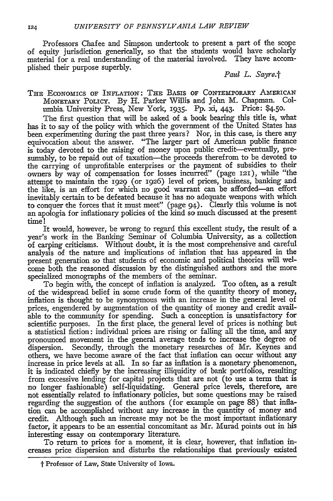Professors Chafee and Simpson undertook to present a part of the scope of equity jurisdiction generically, so that the students would have scholarly material for a real understanding of the material involved. They have accomplished their purpose superbly.<br> *Paul L. Sayre.*<sup>†</sup>

THE ECONOMICS OF INFLATION: THE BASIS OF CONTEMPORARY AMERICAN MONETARY POLICY. By H. Parker Willis and John M. Chapman. Columbia University Press, New York, 1935. **Pp. xi,** 443. Price: \$4.50.

The first question that will be asked of a book bearing this title is, what has it to say of the policy with which the government of the United States has been experimenting during the past three years? Nor, in this case, is there any equivocation about the answer. "The larger part of American public finance is today devoted to the raising of money upon public credit-eventually, presumably, to be repaid out of taxation-the proceeds therefrom to be devoted to the carrying of unprofitable enterprises or the payment of subsidies to their owners by way of compensation for losses incurred" (page 121), while "the attempt to maintain the 1929 (or 1926) level of prices, business, banking and the like, is an effort for which no good warrant can be afforded-an effort inevitably certain to be defeated because it has no adequate weapons with which to conquer the forces that it must meet" (page 94). Clearly this volume is not an apologia for inflationary policies of the kind so much discussed at the present time !

It would, however, be wrong to regard this excellent study, the result of a year's work in the Banking Seminar of Columbia University, as a collection of carping criticisms. Without doubt, it is the most comprehensive and careful analysis of the nature and implications of inflation that has appeared in the present generation so that students of economic and political theories will welcome both the reasoned discussion by the distinguished authors and the more specialized monographs of the members of the seminar.

To begin with, the concept of inflation is analyzed. Too often, as a result of the widespread belief in some crude form of the quantity theory of money, inflation is thought to be synonymous with an increase in the general level of prices, engendered by augmentation of the quantity of money and credit available to the community for spending. Such a conception is unsatisfactory for scientific purposes. In the first place, the general level of prices is nothing but a statistical fiction: individual prices are rising or falling all the time, and any pronounced movement in the general average tends to increase the degree of dispersion. Secondly, through the monetary researches of Mr. Keynes and others, we have become aware of the fact that inflation can occur without any increase in price levels at all. In so far as inflation is a monetary phenomenon, it is indicated chiefly by the increasing illiquidity of bank portfolios, resulting from excessive lending for capital projects that are not (to use a term that is no longer fashionable) self-liquidating. General price levels, therefore, are not essentially related to inflationary policies, but some questions may be raised regarding the suggestion of the authors (for example on page 88) that inflation can be accomplished without any increase in the quantity of money and credit. Although such an increase may not be the most important inflationary factor, it appears to be an essential concomitant as Mr. Murad points out in his interesting essay on contemporary literature.

To return to prices for a moment, it is clear, however, that inflation increases price dispersion and disturbs the relationships that previously existed

t Professor of Law, State University of Iowa.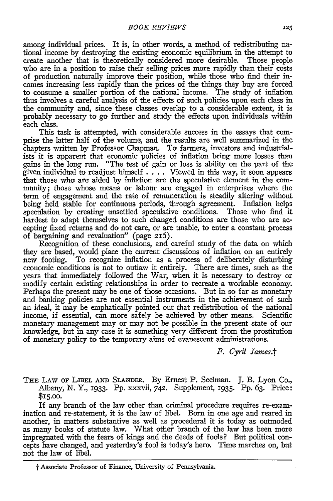among individual prices. It is, in other words, a method of redistributing national income by destroying the existing economic equilibrium in the attempt to create another that is theoretically considered more desirable. Those people who are in a position to raise their selling prices more rapidly than their costs of production naturally improve their position, while those who find their incomes increasing less rapidly than the prices of the things they buy are forced to consume a smaller portion of the national income. The study of inflation thus involves a careful analysis of the effects of such policies upon each class in the community and, since these classes overlap to a considerable extent, it is probably necessary to go further and study the effects upon individuals within each class.

This task is attempted, with considerable success in the essays that comprise the latter half of the volume, and the results are well summarized in the chapters written by Professor Chapman. To farmers, investors and industrialists it is apparent that economic policies of inflation bring more losses than gains in the long run. "The test of gain or loss is ability on the part of the given individual to readjust himself  $\ldots$ . Viewed in this way, it soon appears that those who are aided by inflation are the speculative element in the community; those whose means or labour are engaged in enterprises where the term of engagement and the rate of remuneration is steadily altering without being held stable for continuous periods, through agreement. Inflation helps speculation by creating unsettled speculative conditions. Those who find it hardest to adapt themselves to such changed conditions are those who are accepting fixed returns and do not care, or are unable, to enter a constant process of bargaining and revaluation" (page 216).

Recognition of these conclusions, and careful study of the data on which they are based, would place the current discussions of inflation on an entirely new footing. To recognize inflation as a process of deliberately disturbing economic conditions is not to outlaw it entirely. There are times, such as the years that immediately followed the War, when it is necessary to destroy or modify certain existing relationships in order to recreate a workable economy. Perhaps the present may be one of those occasions. But in so far as monetary and banking policies are not essential instruments in the achievement of such an ideal, it may be emphatically pointed out that redistribution of the national income, if essential, can more safely be achieved by other means. Scientific monetary management may or may not be possible in the present state of our knowledge, but in any case it is something very different from the prostitution of monetary policy to the temporary aims of evanescent administrations.

*F. Cyril fames.t*

THE LAW OF LIBEL AND SLANDER. By Ernest P. Seelman. J. B. Lyon Co., Albany, N. Y., 1933. Pp. xxxvii, 742. Supplement, 1935. Pp. 63. Price: \$15.oo.

If any branch of the law other than criminal procedure requires re-examination and re-statement, it is the law of libel. Born in one age and reared in another, in matters substantive as well as procedural it is today as outmoded as many books of statute law. What other branch of the law has been more impregnated with the fears of kings and the deeds of fools? But political concepts have changed, and yesterday's fool is today's hero. Time marches on, but not the law of libel.

t Associate Professor of Finance, University of Pennsylvania.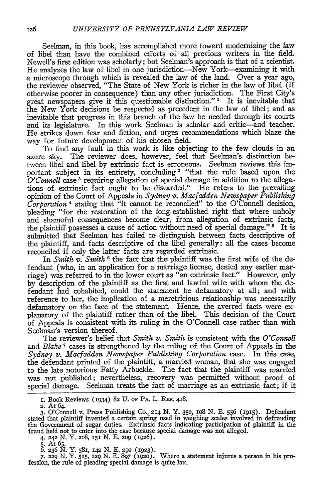Seelman, in this book, has accomplished more toward modernizing the law of libel than have the combined efforts of all previous writers in the field. Newell's first edition was scholarly; but Seelman's approach is that of a scientist. He analyzes the law of libel in one jurisdiction-New York--examining it with a microscope through which is revealed the law of the land. Over a year ago, the reviewer observed, "The State of New York is richer in the law of libel (if otherwise poorer in consequence) than any other jurisdiction. The First City's great newspapers give it this questionable distinction." **I** It is inevitable that the New York decisions be respected as precedent in the law of libel; and as inevitable that progress in this branch of the law be needed through its courts and its legislature. In this work Seelman is scholar and critic-and teacher. He strikes down fear and fiction, and urges recommendations which blaze the way for future development of his chosen field.

To find any fault in this work is like objecting to the few clouds in an azure sky. The reviewer does, however, feel that Seelman's distinction between libel and libel **by** extrinsic fact is erroneous. Seelman reviews this important subject in its entirety, concluding<sup>2</sup> "that the rule based upon the *O'Connell* case<sup>3</sup> requiring allegation of special damage in addition to the allegations of extrinsic fact ought to be discarded." He refers to the prevailing opinion of the Court of Appeals in *Sydney v. Macfadden Newspaper Publishing Corporation 4* stating that "it cannot be reconciled" to the O'Connell decision, pleading "for the restoration of the long-established right that where unholy and shameful consequences become clear, from allegation of extrinsic facts, the plaintiff possesses a cause of action without need of special damage." **5** It is submitted that Seelman has failed to distinguish between facts descriptive of the plaintiff, and facts descriptive of the libel generally: all the cases become reconciled if only the latter facts are regarded extrinsic.

In *Smith v. Smith 6* the fact that the plaintiff was the first wife of the defendant (who, in an application for a marriage license, denied any earlier marriage) was referred to in the lower court as "an extrinsic fact." However. only by description of the plaintiff as the first and lawful wife with whom the defendant had cohabited, could the statement be defamatory at all; and with reference to her, the implication of a meretricious relationship was necessarily defamatory on the face of the statement. Hence, the averred facts were explanatory of the plaintiff rather than of the libel. This decision of the Court of Appeals is consistent with its ruling in the O'Connell case rather than with Seelman's version thereof.

The reviewer's belief that *Smith v. Smith* is consistent with the *O'Connell* and *Blake 7* cases is strengthened by the ruling of the Court of Appeals in the *Sydney v. Macfadden Newspaper Publishing Corporation* case. In this case, the defendant printed of the plaintiff, a married woman, that she was engaged to the late notorious Fatty Arbuckle. The fact that the plaintiff was married was not published; nevertheless, recovery was permitted without proof of special damage. Seelman treats the fact of marriage as an extrinsic fact; if it

**i.** Book Reviews (1934) 82 U. oF PA. L. REv. 418.

**2.** At 64.

**5.** At **65. 6.** *236* **N. Y. 581,** *142* **N.** E. 292 **(1923).**

7. 229 *N. Y.* **515,** *129* **N. E.** 897 (192o). Where a statement injures a person in his profession, the rule of pleading special damage is quite lax.

**<sup>3.</sup>** O'Connell v. Press Publishing Co., **214 N. Y. 352,** io8 **N. E. 556 (95).** Defendant stated that plaintiff invented a certain spring used in weighing scales involved in defrauding the Government of sugar duties. Extrinsic facts indicating participatioa of plaintiff in the fraud held not to enter into the case because special damage was not alleged. 4. 242 N. Y. **208,** 151 N. **E.** 209 (1926).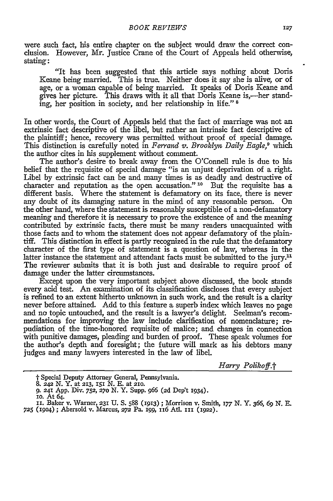were such fact, his entire chapter on the subject would draw the correct conclusion. However, Mr. Justice Crane of the Court of Appeals held otherwise, stating:

"It has been suggested that this article says nothing about Doris Keane being married. This is true. Neither does it say she is alive, or of age, or a woman capable of being married. It speaks of Doris Keane and gives her picture. This draws with it all that Doris Keane is,-her standing, her position in society, and her relationship in life." **<sup>8</sup>**

In other words, the Court of Appeals held that the fact of marriage was not an extrinsic fact descriptive of the libel, but rather an intrinsic fact descriptive of the plaintiff; hence, recovery was permitted without proof of special damage. This distinction is carefully noted in *Ferrand v. Brooklym Daily Eagle,9* which the author cites in his supplement without comment.

The author's desire to break away from the O'Connell rule is due to his belief that the requisite of special damage "is an unjust deprivation of a right. Libel by extrinsic fact can be and many times is as deadly and destructive of character and reputation as the open accusation."<sup>10</sup> But the requisite has a different basis. Where the statement is defamatory on its face, there is never any doubt of its damaging nature in the mind of any reasonable person. On the other hand, where the statement is reasonably susceptible of a non-defamatory meaning and therefore it is necessary to prove the existence of and the meaning contributed by extrinsic facts, there must be many readers unacquainted with those facts and to whom the statement does not appear defamatory of the plaintiff. This distinction in effect is partly recognized in the rule that the defamatory character of the first type of statement is a question of law, whereas in the latter instance the statement and attendant facts must be submitted to the jury.<sup>11</sup> The reviewer submits that it is both just and desirable to require proof of damage under the latter circumstances.

Except upon the very important subject above discussed, the book stands every acid test. An examination of its classification discloses that every subject is refined to an extent hitherto unknown in such work, and the result is a clarity never before attained. Add to this feature a superb index which leaves no page and no topic untouched, and the result is a lawyer's delight. Seelman's recommendations for improving the law include clarification of nomenclature; repudiation of the time-honored requisite of malice; and changes in connection with punitive damages, pleading and burden of proof. These speak volumes for the author's depth and foresight; the future will mark as his debtors many judges and many lawyers interested in the law of libel.

*Harry Polikoff.t*

t Special Deputy Attorney General, Pennsylvania. 8. **242** N. Y. at 213, **151** N. E. at 21o.

<sup>9.</sup> **241** App. Div. **752,** 27o N. Y. Supp. **966** (2d Dep't 1934).

io. At 64.

**ii.** Baker v. Warner, **23x** U. S. 588 (1913) **;** Morrison v. Smith, *177 N.* Y. *366,* 69 *N.* E. **725** (19o4) **;** Abersold v. Marcus, **272** Pa. *i99,* i16 Ati. 111 **(1922).**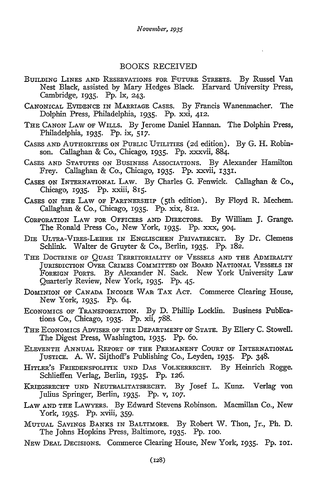## BOOKS RECEIVED

- BUILDING LINES AND RESERVATIONS FOR FUTURE STREETS. By Russel Van Nest Black, assisted by Mary Hedges Black. Harvard University Press, Cambridge, 1935. Pp. Ix, 243.
- CANONICAL EVIDENCE IN MARRIAGE CASES. By Francis Wanenmacher. The Dolphin Press, Philadelphia, 1935. Pp. xxi, 412.
- THE CANON LAW OF WILLS. By Jerome Daniel Hannan. The Dolphin Press, Philadelphia, 1935. Pp. ix, 517.
- CASES **AND** AUTHORITIES ON PUBLIC UTILITIES (2d edition). By G. H. Robinson. Callaghan & Co., Chicago, 1935. Pp. xxxvii, 884.
- CASES AND STATUTES ON BUSINESS ASSOCIATIONS. By Alexander Hamilton Frey. Callaghan & Co., Chicago, 1935. Pp. xxvii, 1331.
- CASES ON INTERNATIONAL LAW. By Charles G. Fenwick. Callaghan & Co., Chicago, 1935. Pp. xxiii, 815.
- CASES ON THE LAW OF PARTNERSHIP (5th edition). By Floyd R. Mechem. Callaghan & Co., Chicago, 1935. Pp. xix, 812.
- CORPORATION LAW FOR OFFICERS AND DIRECTORS. By William J. Grange. The Ronald Press Co., New York, 1935. Pp. xxx, 904.
- DIE ULTRA-VIRES-LEHRE IN ENGLISCHEN PRIVATRECHT. By Dr. Clemens Schlink. Walter de Gruyter & Co., Berlin, 1935. Pp. 182.
- THE DOCTRINE OF QUASI TERRITORIALITY OF VESSELS AND **THE** ADMIRALTY JURISDICTION OVER CRIMES COMMITTED ON BOARD NATIONAL VESSELS IN FOREIGN PORTS. By Alexander N. Sack. New York University Law Quarterly Review, New York, 1935. PP. 45.
- DOMINION OF CANADA INCOME WAR TAX ACT. Commerce Clearing House, New York, 1935. Pp. 64.
- ECONOMICS OF TRANSPORTATION. By D. Phillip Locklin. Business Publications Co., Chicago, 1935. Pp. xii, 788.
- THE ECONOMICS ADVISER OF **THE** DEPARTMENT OF STATE. By Ellery C. Stowell. The Digest Press, Washington, 1935. Pp. 6o.
- ELEVENTH ANNUAL REPORT OF **THE** PERMANENT COURT OF INTERNATIONAL JUSTICE. A. W. Sijthoff's Publishing Co., Leyden, 1935. PP. 348.
- HITLER'S FRIEDENSPOLITIK UND DAS VOLKERRECHT. By Heinrich Rogge. Schlieffen Verlag, Berlin, 1935. Pp. 126.
- KRIEGSRECET UND NEUTRALITATSRECHT. By Josef L. Kunz. Verlag von Julius Springer, Berlin, 1935. Pp. v, 107.
- LAW AND THE LAWYERS. By Edward Stevens Robinson. Macmillan Co., New York, 1935. Pp. xviii, 359.
- MUTUAL SAVINGS BANKS IN BALTIMORE. By Robert W. Thon, Jr., Ph. D. The Johns Hopkins Press, Baltimore, 1935. Pp. 100.
- NEW DEAL DECISIONS. Commerce Clearing House, New York, 1935. Pp. 101.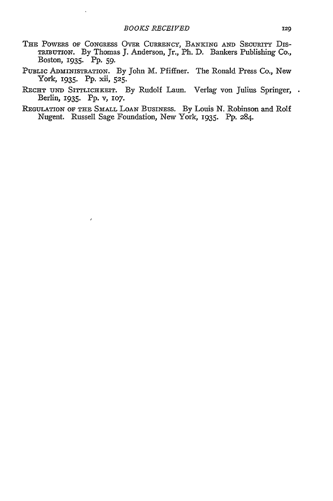$\sim 10$ 

 $\pmb{\prime}$ 

- **THE** POWERS OF **CONGRESS** OVER CURRENCY, BANKING **AND SECURITY** Dis-**TmBUTION.** By Thomas J. Anderson, Jr., Ph. D. Bankers Publishing Co., Boston, **1935.** PP. 59.
- PUBLIC ADmINISTRATION. By John M. Pfiffner. The Ronald Press Co., New York, 1935. Pp. xii, **525.**
- RECHT UND SITTLICHKEIT. By Rudolf Laun. Verlag von Julius Springer, . Berlin, 1935. PP. v, **107.**
- **REGULATION** OF **THE** SmALL LOAN BUSINESS. By Louis N. Robinson and Rolf Nugent. Russell Sage Foundation, New York, **1935.** Pp. 284.